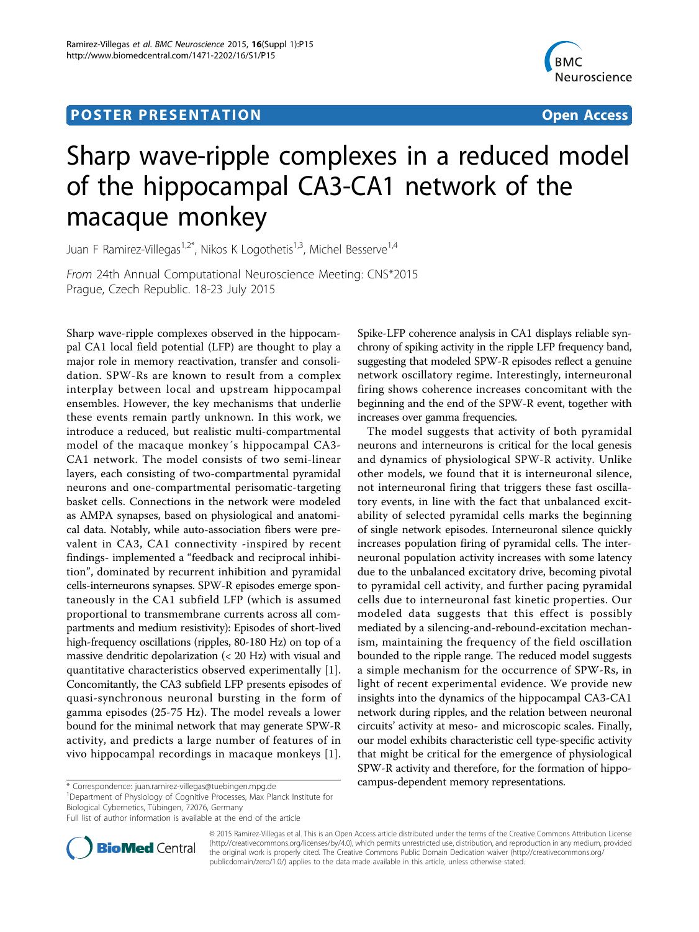# **POSTER PRESENTATION CONSUMING THE SERVICE OPEN ACCESS**



# Sharp wave-ripple complexes in a reduced model of the hippocampal CA3-CA1 network of the macaque monkey

Juan F Ramirez-Villegas<sup>1,2\*</sup>, Nikos K Logothetis<sup>1,3</sup>, Michel Besserve<sup>1,4</sup>

From 24th Annual Computational Neuroscience Meeting: CNS\*2015 Prague, Czech Republic. 18-23 July 2015

Sharp wave-ripple complexes observed in the hippocampal CA1 local field potential (LFP) are thought to play a major role in memory reactivation, transfer and consolidation. SPW-Rs are known to result from a complex interplay between local and upstream hippocampal ensembles. However, the key mechanisms that underlie these events remain partly unknown. In this work, we introduce a reduced, but realistic multi-compartmental model of the macaque monkey´s hippocampal CA3- CA1 network. The model consists of two semi-linear layers, each consisting of two-compartmental pyramidal neurons and one-compartmental perisomatic-targeting basket cells. Connections in the network were modeled as AMPA synapses, based on physiological and anatomical data. Notably, while auto-association fibers were prevalent in CA3, CA1 connectivity -inspired by recent findings- implemented a "feedback and reciprocal inhibition", dominated by recurrent inhibition and pyramidal cells-interneurons synapses. SPW-R episodes emerge spontaneously in the CA1 subfield LFP (which is assumed proportional to transmembrane currents across all compartments and medium resistivity): Episodes of short-lived high-frequency oscillations (ripples, 80-180 Hz) on top of a massive dendritic depolarization (< 20 Hz) with visual and quantitative characteristics observed experimentally [\[1](#page-1-0)]. Concomitantly, the CA3 subfield LFP presents episodes of quasi-synchronous neuronal bursting in the form of gamma episodes (25-75 Hz). The model reveals a lower bound for the minimal network that may generate SPW-R activity, and predicts a large number of features of in vivo hippocampal recordings in macaque monkeys [[1](#page-1-0)].

<sup>1</sup>Department of Physiology of Cognitive Processes, Max Planck Institute for Biological Cybernetics, Tübingen, 72076, Germany

Spike-LFP coherence analysis in CA1 displays reliable synchrony of spiking activity in the ripple LFP frequency band, suggesting that modeled SPW-R episodes reflect a genuine network oscillatory regime. Interestingly, interneuronal firing shows coherence increases concomitant with the beginning and the end of the SPW-R event, together with increases over gamma frequencies.

The model suggests that activity of both pyramidal neurons and interneurons is critical for the local genesis and dynamics of physiological SPW-R activity. Unlike other models, we found that it is interneuronal silence, not interneuronal firing that triggers these fast oscillatory events, in line with the fact that unbalanced excitability of selected pyramidal cells marks the beginning of single network episodes. Interneuronal silence quickly increases population firing of pyramidal cells. The interneuronal population activity increases with some latency due to the unbalanced excitatory drive, becoming pivotal to pyramidal cell activity, and further pacing pyramidal cells due to interneuronal fast kinetic properties. Our modeled data suggests that this effect is possibly mediated by a silencing-and-rebound-excitation mechanism, maintaining the frequency of the field oscillation bounded to the ripple range. The reduced model suggests a simple mechanism for the occurrence of SPW-Rs, in light of recent experimental evidence. We provide new insights into the dynamics of the hippocampal CA3-CA1 network during ripples, and the relation between neuronal circuits' activity at meso- and microscopic scales. Finally, our model exhibits characteristic cell type-specific activity that might be critical for the emergence of physiological SPW-R activity and therefore, for the formation of hippo\* Correspondence: [juan.ramirez-villegas@tuebingen.mpg.de](mailto:juan.ramirez-villegas@tuebingen.mpg.de) campus-dependent memory representations.



© 2015 Ramirez-Villegas et al. This is an Open Access article distributed under the terms of the Creative Commons Attribution License [\(http://creativecommons.org/licenses/by/4.0](http://creativecommons.org/licenses/by/4.0)), which permits unrestricted use, distribution, and reproduction in any medium, provided the original work is properly cited. The Creative Commons Public Domain Dedication waiver ([http://creativecommons.org/](http://creativecommons.org/publicdomain/zero/1.0/) [publicdomain/zero/1.0/](http://creativecommons.org/publicdomain/zero/1.0/)) applies to the data made available in this article, unless otherwise stated

Full list of author information is available at the end of the article